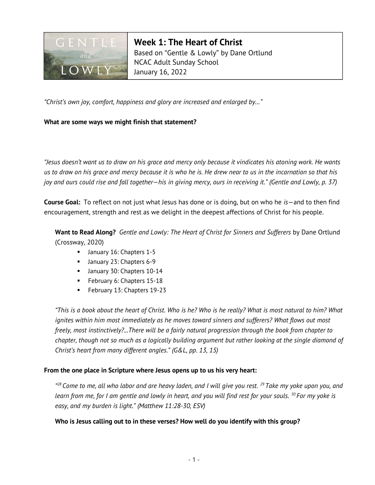

Week 1: The Heart of Christ Based on "Gentle & Lowly" by Dane Ortlund NCAC Adult Sunday School January 16, 2022

"Christ's own joy, comfort, happiness and glory are increased and enlarged by…"

## What are some ways we might finish that statement?

"Jesus doesn't want us to draw on his grace and mercy only because it vindicates his atoning work. He wants us to draw on his grace and mercy because it is who he is. He drew near to us in the incarnation so that his joy and ours could rise and fall together—his in giving mercy, ours in receiving it." (Gentle and Lowly, p. 37)

**Course Goal:** To reflect on not just what Jesus has done or is doing, but on who he  $is$ —and to then find encouragement, strength and rest as we delight in the deepest affections of Christ for his people.

Want to Read Along? Gentle and Lowly: The Heart of Christ for Sinners and Sufferers by Dane Ortlund (Crossway, 2020)

- **January 16: Chapters 1-5**
- **January 23: Chapters 6-9**
- **January 30: Chapters 10-14**
- **February 6: Chapters 15-18**
- **February 13: Chapters 19-23**

"This is a book about the heart of Christ. Who is he? Who is he really? What is most natural to him? What ignites within him most immediately as he moves toward sinners and sufferers? What flows out most freely, most instinctively?...There will be a fairly natural progression through the book from chapter to chapter, though not so much as a logically building argument but rather looking at the single diamond of Christ's heart from many different angles." (G&L, pp. 13, 15)

# From the one place in Scripture where Jesus opens up to us his very heart:

<sup>428</sup> Come to me, all who labor and are heavy laden, and I will give you rest. <sup>29</sup> Take my yoke upon you, and learn from me, for I am gentle and lowly in heart, and you will find rest for your souls.  $^{30}$  For my yoke is easy, and my burden is light." (Matthew 11:28-30, ESV)

# Who is Jesus calling out to in these verses? How well do you identify with this group?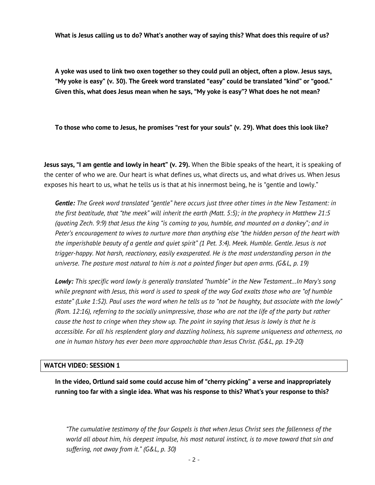What is Jesus calling us to do? What's another way of saying this? What does this require of us?

A yoke was used to link two oxen together so they could pull an object, often a plow. Jesus says, "My yoke is easy" (v. 30). The Greek word translated "easy" could be translated "kind" or "good." Given this, what does Jesus mean when he says, "My yoke is easy"? What does he not mean?

To those who come to Jesus, he promises "rest for your souls" (v. 29). What does this look like?

Jesus says, "I am gentle and lowly in heart" (v. 29). When the Bible speaks of the heart, it is speaking of the center of who we are. Our heart is what defines us, what directs us, and what drives us. When Jesus exposes his heart to us, what he tells us is that at his innermost being, he is "gentle and lowly."

Gentle: The Greek word translated "gentle" here occurs just three other times in the New Testament: in the first beatitude, that "the meek" will inherit the earth (Matt. 5:5); in the prophecy in Matthew 21:5 (quoting Zech. 9:9) that Jesus the king "is coming to you, humble, and mounted on a donkey"; and in Peter's encouragement to wives to nurture more than anything else "the hidden person of the heart with the imperishable beauty of a gentle and quiet spirit" (1 Pet. 3:4). Meek. Humble. Gentle. Jesus is not trigger-happy. Not harsh, reactionary, easily exasperated. He is the most understanding person in the universe. The posture most natural to him is not a pointed finger but open arms. (G&L, p. 19)

Lowly: This specific word lowly is generally translated "humble" in the New Testament...In Mary's song while pregnant with Jesus, this word is used to speak of the way God exalts those who are "of humble estate" (Luke 1:52). Paul uses the word when he tells us to "not be haughty, but associate with the lowly" (Rom. 12:16), referring to the socially unimpressive, those who are not the life of the party but rather cause the host to cringe when they show up. The point in saying that Jesus is lowly is that he is accessible. For all his resplendent glory and dazzling holiness, his supreme uniqueness and otherness, no one in human history has ever been more approachable than Jesus Christ. (G&L, pp. 19-20)

### WATCH VIDEO: SESSION 1

In the video, Ortlund said some could accuse him of "cherry picking" a verse and inappropriately running too far with a single idea. What was his response to this? What's your response to this?

"The cumulative testimony of the four Gospels is that when Jesus Christ sees the fallenness of the world all about him, his deepest impulse, his most natural instinct, is to move toward that sin and suffering, not away from it." (G&L, p. 30)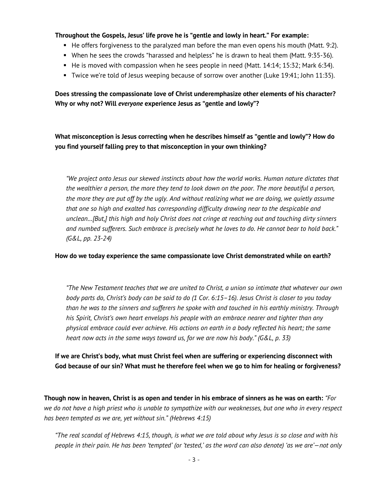## Throughout the Gospels, Jesus' life prove he is "gentle and lowly in heart." For example:

- $\blacksquare$  He offers forgiveness to the paralyzed man before the man even opens his mouth (Matt. 9:2).
- When he sees the crowds "harassed and helpless" he is drawn to heal them (Matt. 9:35-36).
- $\blacksquare$  He is moved with compassion when he sees people in need (Matt. 14:14; 15:32; Mark 6:34).
- Twice we're told of Jesus weeping because of sorrow over another (Luke 19:41; John 11:35).

Does stressing the compassionate love of Christ underemphasize other elements of his character? Why or why not? Will everyone experience Jesus as "gentle and lowly"?

What misconception is Jesus correcting when he describes himself as "gentle and lowly"? How do you find yourself falling prey to that misconception in your own thinking?

"We project onto Jesus our skewed instincts about how the world works. Human nature dictates that the wealthier a person, the more they tend to look down on the poor. The more beautiful a person, the more they are put off by the ugly. And without realizing what we are doing, we quietly assume that one so high and exalted has corresponding difficulty drawing near to the despicable and unclean…[But,] this high and holy Christ does not cringe at reaching out and touching dirty sinners and numbed sufferers. Such embrace is precisely what he loves to do. He cannot bear to hold back." (G&L, pp. 23-24)

#### How do we today experience the same compassionate love Christ demonstrated while on earth?

"The New Testament teaches that we are united to Christ, a union so intimate that whatever our own body parts do, Christ's body can be said to do (1 Cor. 6:15–16). Jesus Christ is closer to you today than he was to the sinners and sufferers he spoke with and touched in his earthly ministry. Through his Spirit, Christ's own heart envelops his people with an embrace nearer and tighter than any physical embrace could ever achieve. His actions on earth in a body reflected his heart; the same heart now acts in the same ways toward us, for we are now his body." (G&L, p. 33)

If we are Christ's body, what must Christ feel when are suffering or experiencing disconnect with God because of our sin? What must he therefore feel when we go to him for healing or forgiveness?

Though now in heaven, Christ is as open and tender in his embrace of sinners as he was on earth: "For we do not have a high priest who is unable to sympathize with our weaknesses, but one who in every respect has been tempted as we are, yet without sin." (Hebrews 4:15)

"The real scandal of Hebrews 4:15, though, is what we are told about why Jesus is so close and with his people in their pain. He has been 'tempted' (or 'tested,' as the word can also denote) 'as we are'—not only